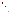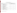## SNMOC/NMOC/ UATMP, PAMS, and HAP's Support and Associated Costs (2005 and 2006)

| Line<br><b>Item</b> |                                                                                                                                                                                                                                                                                                                                                  | Unit       | $Cost($ \$)<br><b>FY05/FY06</b> | <b>Shipping</b><br>$\left( \text{\$}\right)$ | Total $(\$)$  |
|---------------------|--------------------------------------------------------------------------------------------------------------------------------------------------------------------------------------------------------------------------------------------------------------------------------------------------------------------------------------------------|------------|---------------------------------|----------------------------------------------|---------------|
| 0001                | Speciated NMOC and NMOC Base Site Support<br>• (Base Collection frequency, 4 months, 5 days per week)<br>· Site Coordination<br>• QA/QC Program and Standards<br>• Instrument Certification and Installation<br>$\bullet$ Travel<br>• Final Data Validation, Reduction, Reporting<br>• Options must be specified at the beginning of the program | Per Site   | 10,113/10,245                   | 500/500                                      | 10,613/10,745 |
| $0001A*$            | NMOC Sample Analysis Using TO-12<br>• Canister Cleaning and Handling<br>• NMOC analysis using TO-12<br>• Monthly Data Validation, Reduction, Reporting<br>• AIRS Input<br>• Standard base program requires 96 NMOC samples total plus<br><b>Replicates and Duplicates</b>                                                                        | Per Sample | 86/87                           | 30                                           | 116/117       |
| $0001B*$            | Speciated NMOC Sample Analysis Using GC/FID<br>• Canister Cleaning and Handling<br>• Speciated NMOC Analysis using GC/FID w/MSD verfication when<br>needed<br>• Monthly Data Validation, Reduction, Reporting<br>• AIRS Input<br>• Standard base program requires 96 SNMOC samples total                                                         | Per Sample | 284/288                         | 30                                           | 314/318       |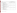| Line<br><b>Item</b> |                                                                                                                                                                                                                                                                                                                                                                                              | Unit       | $Cost$ (\$)<br><b>FY05/FY06</b> | <b>Shipping</b><br>\$) | Total $(\$)$  |
|---------------------|----------------------------------------------------------------------------------------------------------------------------------------------------------------------------------------------------------------------------------------------------------------------------------------------------------------------------------------------------------------------------------------------|------------|---------------------------------|------------------------|---------------|
| 0001C*              | Toxics Sample Analysis Using TO-15<br>• Canister Cleaning and Handling<br>• Toxics Sample Analysis Using TO-15<br>• Monthly Data Validation, Reduction, Reporting<br>• AIRS Input                                                                                                                                                                                                            | Per Sample | 353/356                         | 30                     | 383/386       |
| $0001D*$            | Carbonyl Sample Analysis Using TO-11A, including sample cartridge<br>• DNPH cartridge handling<br>• Carbonyl Analysis using TO-11A for 16 Target compounds<br>• Purchase and distribution of DNPH cartridges<br>• Monthly Data Validation, Reduction, Reporting<br>• AIRS Input                                                                                                              | Per Sample | 124/125                         | 8                      | 132/133       |
| 0001E               | Concurrent Toxics and Speciated Hydrocarbon Sample Analysis Using<br>TO-15 and GC/MS-FID<br>• Canister cleaning and handling<br>• One concurrent sample analysis with toxics analysis on the GC/MSD<br>And SNMOC on the GC/FID with MSD verification when needed<br>• Monthly Data Validation, Reduction, Reporting<br>• AIRS Input                                                          | Per Sample | 459/465                         | 30                     | 489/495       |
| 0002                | <b>UATMP</b> Base Site Support<br>• (Base program frequency is 1 year, 1 sample per 12 days)<br>• Site support (problem solving/trouble shooting)<br>• Site coordination<br>• Instrument Certification and Installation<br>$\bullet$ Travel<br>• QA/QC Program and Standards<br>• Final Data Validation, Reduction, Reporting<br>• Options must be specified at the beginning of the program | Per Site   | 15,832/16,061                   | 500                    | 16,332/16,561 |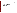| Line<br><b>Item</b> |                                                                                                                                                                                                                                                                                                                                                                                         | Unit       | $Cost($ \$)<br><b>FY05/FY06</b> | <b>Shipping</b><br>$\left( \text{\$}\right)$ | Total $(\$)$ |
|---------------------|-----------------------------------------------------------------------------------------------------------------------------------------------------------------------------------------------------------------------------------------------------------------------------------------------------------------------------------------------------------------------------------------|------------|---------------------------------|----------------------------------------------|--------------|
| 0002A*              | Toxics Sample Analysis Using TO-15<br>• Canister Cleaning and Handling<br>• Toxics Analysis using TO-15<br>· Quarterly Data Validation, Reduction, Reporting<br>• AIRS Input<br>• Typical Base Program requires at least 37 samples, replicates and<br>duplicates                                                                                                                       | Per Sample | 350/356                         | 30                                           | 380/386      |
| 0002B*              | Carbonyl Sample Analysis Using TO-11A, including sample cartridge<br>• DNPH cartridge handling<br>• Carbonyl analysis using TO-11A for 16 Target compounds<br>• Purchase and distribution of DNPH cartridges<br>• Quarterly Data Validation, Reduction, Reporting<br>• AIRS Input<br>• Typical Base Program requires at least 53 samples, replicates and<br>duplicates and field blanks | Per Sample | 125/127                         | 8                                            | 133/135      |
| 0002C*              | Speciated NMOC Sample Analysis Using GC/FID<br>• Canister Cleaning and Handling<br>• Speciated NMOC Analysis using GC/FID w/MSD verification when<br>needed<br>• Quarterly Data Validation, Reduction, Reporting<br>• AIRS Input                                                                                                                                                        | Per Sample | 283/287                         | 30                                           | 313/317      |
| $0002D*$            | Concurrent Toxics and Speciated Hydrocarbon Sample Analysis Using<br>TO-15 and TC/MS-FID<br>• Canister cleaning and handling<br>• One concurrent sample analysis with toxics analysis on the GC/MSD<br>and SNMOC on the GC/FID with MSD verification when needed<br>· Quarterly Data Validation, Reduction, Report<br>• AIRS Input                                                      | Per Sample | 459/465                         | 30                                           | 489/495      |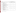| Line<br><b>Item</b> |                                                                                                                                                                                                                                                                                                                                                                                  | Unit       | $Cost$ (\$)<br><b>FY05/FY06</b> | <b>Shipping</b><br>$\left( \text{\$}\right)$ | Total $(\$)$ |
|---------------------|----------------------------------------------------------------------------------------------------------------------------------------------------------------------------------------------------------------------------------------------------------------------------------------------------------------------------------------------------------------------------------|------------|---------------------------------|----------------------------------------------|--------------|
| 0003                | Carbonyl Base Site Support<br>• (Base program frequency is 1 year, 1 sample per 12 days)<br>• Site support (problem solving/trouble shooting)<br>· Site Coordination<br>• Instrument Certification and Installation<br>• Travel<br>• QA/QC Program and Standards<br>• Final Data Validation, Reduction, Reporting<br>• Options must be specified at the beginning of the program | Per Site   | 7,602/7,689                     | 500                                          | 8,102/8,189  |
| 0003A*              | Carbonyl Sample Analysis Using TO-11A, including sample cartridge<br>• DNPH cartridge handling<br>• Carbonyl Analysis using TO-11A for 16 Target compounds<br>• 10% Replicates, Duplicates, and Blanks<br>• Purchase and distribution of DNPH cartridges<br>• Monthly Data Validation, Reduction, Reporting<br>• AIRS Input                                                      | Per Sample | 123/125                         | 8                                            | 131/133      |
| 0004                | <b>PAMS Technical Site Support</b><br>• Ian Seeley Support<br>• On-site technical assistance and consultation for PAMS VOC<br>analysis set-up and operation<br>• Options must be specified at the beginning of the program                                                                                                                                                       | Per Site   | 9,172/9,400                     | 100                                          | 9,272/9,500  |
| 0004A               | PAMS QA Support (80 hours)<br>• STI Support<br>• Technical QA Support as required<br>• Standard prep, round robin analysis support, and data validation,<br>reduction and analysis<br>• Coordinate sample sharing services<br>• Provide audit standards containing at least 8 species tested in the<br>TAD for GC analysis                                                       | Per Site   | 9,394/9,580                     | N/A                                          | 9,394/9,580  |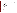| Line<br><b>Item</b> |                                                                                                                                                                                                                                                                                                                                              | Unit       | $Cost($ \$)<br><b>FY05/FY06</b> | <b>Shipping</b><br>\$) | Total $(\$)$ |
|---------------------|----------------------------------------------------------------------------------------------------------------------------------------------------------------------------------------------------------------------------------------------------------------------------------------------------------------------------------------------|------------|---------------------------------|------------------------|--------------|
| 0004B               | PAMS Canister Sample analysis following the TAD<br>• Canister cleaning and handling<br>• VOC analysis (PAMS list) using the GC/FID with MSD verification<br>when needed. Requires 10% reps and dups<br>• Monthly data validation, reduction, and reporting<br>• AIRS input                                                                   | Per Sample | 284/289                         | 30                     | 314/319      |
| 0004C               | Carbonyl Sample Analysis Using TO-11A, including sample cartridge<br>• DNPH cartridge handling<br>• Carbonyl analysis using TO-11A for 16 target compounds<br>• Typically requires 10% Reps, Dups, and Blanks<br>• Purchase and distribution of DNPH cartridge<br>• Monthly Data Validation, Reduction, Reporting<br>• AIRS Input            | Per Sample | 125/125                         | 8                      | 133/133      |
| 0004D               | Toxics Sample Analysis Using TO-15<br>• Canister cleaning and handling<br>• Toxics analysis using TO-15<br>· Monthly Data Validation, Reduction, Reporting<br>• AIRS Input                                                                                                                                                                   | Per Sample | 354/360                         | 30                     | 384/390      |
| 0004E               | Concurrent Toxics and Speciated Hydrocarbon Sample Analysis Using<br>TO-15 and GC/MS-FID<br>• Canister Cleaning and Handling<br>• one concurrent sample analysis with toxics analysis on the GC/MSD<br>and SNMOC analysis on the GC/FID w/MSD verification when<br>needed<br>• Monthly Data Validation, Reduction, Reporting<br>• AIRS Input | Per Sample | 458/465                         | 30                     | 488/495      |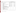| Line<br><b>Item</b> |                                                                                                                                                                                                                                                                                                                                                                                                                                                                                                                                                                                                                                                                                                                                                                                                                                                                                                                                                                                                                                                                                                                                                                                                                                               | Unit                                                                                                                                                                                                      | $Cost$ (\$)<br><b>FY05/FY06</b>                                                                                                                              | <b>Shipping</b><br>$($)$                                                                | Total $(\$)$                                                                                                                                                 |
|---------------------|-----------------------------------------------------------------------------------------------------------------------------------------------------------------------------------------------------------------------------------------------------------------------------------------------------------------------------------------------------------------------------------------------------------------------------------------------------------------------------------------------------------------------------------------------------------------------------------------------------------------------------------------------------------------------------------------------------------------------------------------------------------------------------------------------------------------------------------------------------------------------------------------------------------------------------------------------------------------------------------------------------------------------------------------------------------------------------------------------------------------------------------------------------------------------------------------------------------------------------------------------|-----------------------------------------------------------------------------------------------------------------------------------------------------------------------------------------------------------|--------------------------------------------------------------------------------------------------------------------------------------------------------------|-----------------------------------------------------------------------------------------|--------------------------------------------------------------------------------------------------------------------------------------------------------------|
| 0005                | Hazardous Air Pollutants Support (HAPS)<br>- Category I only costs (TO-15)<br>- Category II only costs (TO-11A)<br>Category III costs<br>- Phosgene<br>- Bis(2-chloroethyl)ether & Bis(2-ethylhexyl)phthalate-(include with<br>semi volatiles)<br>- 2,3,7,8 Tetrachlorodibenzo-p-dioxin (includes management fee)<br>- Ethylene Oxide<br>- Hydrazine<br>- Hydrocyanic Acid<br>- Carbon Disulfide<br>- Category IV only costs (semi volatiles by 8270)<br>- Category V only costs (metals by ICP/MS)<br>- Hexavalent Chromium (California Method 049)<br>- Acrolein monitor & sample analyses using DNSH-cartridge cartridge<br>sampling (methods as described in "Development of the Personal<br>Aldehydes and Ketones Sampler Based Upon DNSH Derivatization on<br>Solid Sorbent")<br>- Samples can be ordered individually; however, the minimum order for<br>the combination is 90 samples.<br>• All sample collection activities and associated equipment are to be<br>provided by the participants<br>• Sample analysis only<br>• Monthly Data Validation, Reduction, and Reporting<br>• A monthly final letter report will present the HAPS data in a<br>validatable format but not in the Contract Laboratory Program<br>(CLP) format. | Per Bulk<br>support<br>Per Sample<br>Per Sample<br>Per Sample<br>Per Sample<br>Per Sample<br>Per Sample<br>Per Sample<br>Per Sample<br>Per Sample<br>Per Sample<br>Per Sample<br>Per Sample<br>Per Sample | 34,658/35,443<br>354/360<br>124/125<br>156/159<br>456/463<br>509/528<br>212/218<br>224/228<br>193/194<br>220/222<br>461/470<br>220/229<br>170/173<br>261/268 | 1,000<br>30<br>8<br>8<br>30<br>30<br>8<br>$\,8\,$<br>8<br>8<br>30<br>$\,8\,$<br>8<br>30 | 35,658/36,443<br>384/390<br>132/133<br>164/167<br>486/493<br>539/558<br>220/226<br>232/236<br>201/202<br>228/230<br>491/500<br>228/237<br>178/181<br>291/298 |
|                     |                                                                                                                                                                                                                                                                                                                                                                                                                                                                                                                                                                                                                                                                                                                                                                                                                                                                                                                                                                                                                                                                                                                                                                                                                                               | Per Site                                                                                                                                                                                                  | 6,216                                                                                                                                                        | 500                                                                                     | 6,716                                                                                                                                                        |